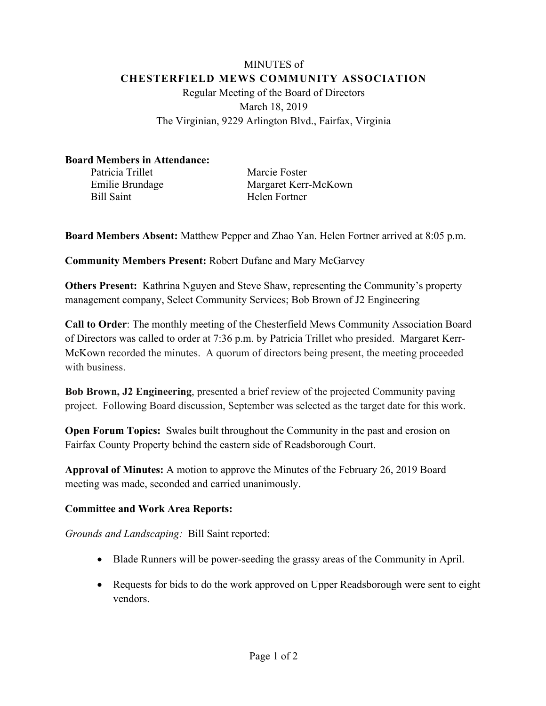## MINUTES of **CHESTERFIELD MEWS COMMUNITY ASSOCIATION** Regular Meeting of the Board of Directors March 18, 2019 The Virginian, 9229 Arlington Blvd., Fairfax, Virginia

## **Board Members in Attendance:**

Patricia Trillet Marcie Foster Bill Saint Helen Fortner

Emilie Brundage Margaret Kerr-McKown

**Board Members Absent:** Matthew Pepper and Zhao Yan. Helen Fortner arrived at 8:05 p.m.

**Community Members Present:** Robert Dufane and Mary McGarvey

**Others Present:** Kathrina Nguyen and Steve Shaw, representing the Community's property management company, Select Community Services; Bob Brown of J2 Engineering

**Call to Order**: The monthly meeting of the Chesterfield Mews Community Association Board of Directors was called to order at 7:36 p.m. by Patricia Trillet who presided. Margaret Kerr-McKown recorded the minutes. A quorum of directors being present, the meeting proceeded with business.

**Bob Brown, J2 Engineering**, presented a brief review of the projected Community paving project. Following Board discussion, September was selected as the target date for this work.

**Open Forum Topics:** Swales built throughout the Community in the past and erosion on Fairfax County Property behind the eastern side of Readsborough Court.

**Approval of Minutes:** A motion to approve the Minutes of the February 26, 2019 Board meeting was made, seconded and carried unanimously.

## **Committee and Work Area Reports:**

*Grounds and Landscaping:* Bill Saint reported:

- Blade Runners will be power-seeding the grassy areas of the Community in April.
- Requests for bids to do the work approved on Upper Readsborough were sent to eight vendors.